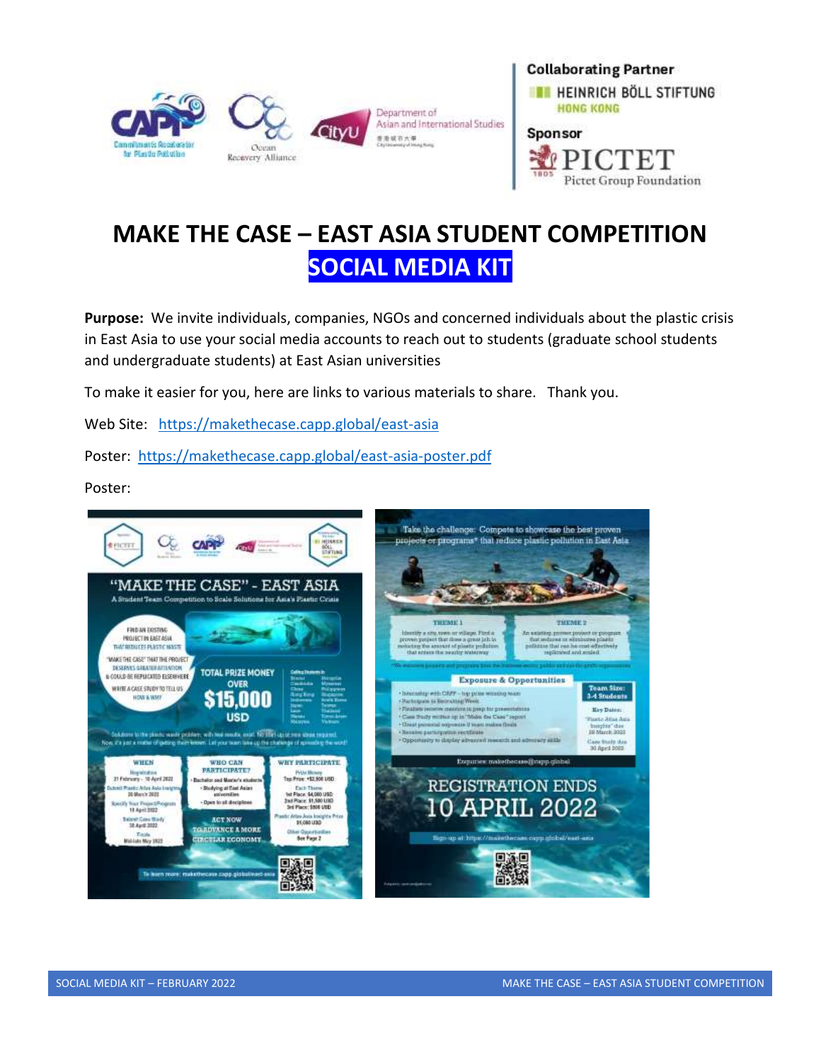



**Pictet Group Foundation** 

# **MAKE THE CASE – EAST ASIA STUDENT COMPETITION SOCIAL MEDIA KIT**

**Purpose:** We invite individuals, companies, NGOs and concerned individuals about the plastic crisis in East Asia to use your social media accounts to reach out to students (graduate school students and undergraduate students) at East Asian universities

To make it easier for you, here are links to various materials to share. Thank you.

Web Site: <https://makethecase.capp.global/east-asia>

Poster: <https://makethecase.capp.global/east-asia-poster.pdf>

Poster: